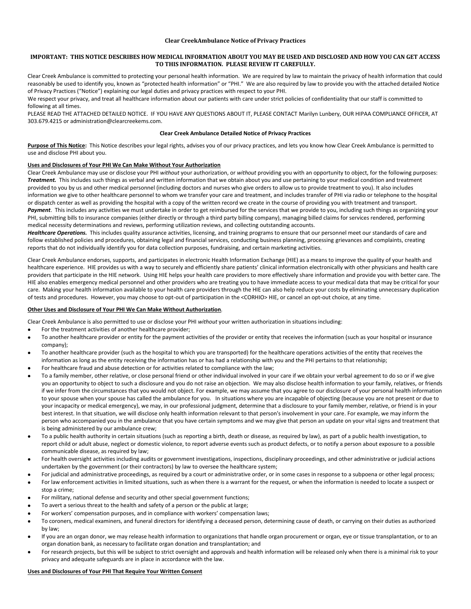## **Clear CreekAmbulance Notice of Privacy Practices**

# **IMPORTANT: THIS NOTICE DESCRIBES HOW MEDICAL INFORMATION ABOUT YOU MAY BE USED AND DISCLOSED AND HOW YOU CAN GET ACCESS TO THIS INFORMATION. PLEASE REVIEW IT CAREFULLY.**

Clear Creek Ambulance is committed to protecting your personal health information. We are required by law to maintain the privacy of health information that could reasonably be used to identify you, known as "protected health information" or "PHI." We are also required by law to provide you with the attached detailed Notice of Privacy Practices ("Notice") explaining our legal duties and privacy practices with respect to your PHI.

We respect your privacy, and treat all healthcare information about our patients with care under strict policies of confidentiality that our staff is committed to following at all times.

PLEASE READ THE ATTACHED DETAILED NOTICE. IF YOU HAVE ANY QUESTIONS ABOUT IT, PLEASE CONTACT Marilyn Lunbery, OUR HIPAA COMPLIANCE OFFICER, AT 303.679.4215 or administration@clearcreekems.com.

#### **Clear Creek Ambulance Detailed Notice of Privacy Practices**

**Purpose of This Notice:**This Notice describes your legal rights, advises you of our privacy practices, and lets you know how Clear Creek Ambulance is permitted to use and disclose PHI about you.

## **Uses and Disclosures of Your PHI We Can Make Without Your Authorization**

Clear Creek Ambulance may use or disclose your PHI *without* your authorization, or *without* providing you with an opportunity to object, for the following purposes: *Treatment.* This includes such things as verbal and written information that we obtain about you and use pertaining to your medical condition and treatment provided to you by us and other medical personnel (including doctors and nurses who give orders to allow us to provide treatment to you). It also includes information we give to other healthcare personnel to whom we transfer your care and treatment, and includes transfer of PHI via radio or telephone to the hospital or dispatch center as well as providing the hospital with a copy of the written record we create in the course of providing you with treatment and transport. Payment. This includes any activities we must undertake in order to get reimbursed for the services that we provide to you, including such things as organizing your PHI, submitting bills to insurance companies (either directly or through a third party billing company), managing billed claims for services rendered, performing medical necessity determinations and reviews, performing utilization reviews, and collecting outstanding accounts.

Healthcare Operations. This includes quality assurance activities, licensing, and training programs to ensure that our personnel meet our standards of care and follow established policies and procedures, obtaining legal and financial services, conducting business planning, processing grievances and complaints, creating reports that do not individually identify you for data collection purposes, fundraising, and certain marketing activities.

Clear Creek Ambulance endorses, supports, and participates in electronic Health Information Exchange (HIE) as a means to improve the quality of your health and healthcare experience. HIE provides us with a way to securely and efficiently share patients' clinical information electronically with other physicians and health care providers that participate in the HIE network. Using HIE helps your health care providers to more effectively share information and provide you with better care. The HIE also enables emergency medical personnel and other providers who are treating you to have immediate access to your medical data that may be critical for your care. Making your health information available to your health care providers through the HIE can also help reduce your costs by eliminating unnecessary duplication of tests and procedures. However, you may choose to opt-out of participation in the <CORHIO> HIE, or cancel an opt-out choice, at any time.

#### **Other Uses and Disclosure of Your PHI We Can Make Without Authorization***.*

Clear Creek Ambulance is also permitted to use or disclose your PHI *without* your written authorization in situations including:

- For the treatment activities of another healthcare provider;
- To another healthcare provider or entity for the payment activities of the provider or entity that receives the information (such as your hospital or insurance company);
- To another healthcare provider (such as the hospital to which you are transported) for the healthcare operations activities of the entity that receives the information as long as the entity receiving the information has or has had a relationship with you and the PHI pertains to that relationship;
- For healthcare fraud and abuse detection or for activities related to compliance with the law;
- To a family member, other relative, or close personal friend or other individual involved in your care if we obtain your verbal agreement to do so or if we give you an opportunity to object to such a disclosure and you do not raise an objection. We may also disclose health information to your family, relatives, or friends if we infer from the circumstances that you would not object. For example, we may assume that you agree to our disclosure of your personal health information to your spouse when your spouse has called the ambulance for you. In situations where you are incapable of objecting (because you are not present or due to your incapacity or medical emergency), we may, in our professional judgment, determine that a disclosure to your family member, relative, or friend is in your best interest. In that situation, we will disclose only health information relevant to that person's involvement in your care. For example, we may inform the person who accompanied you in the ambulance that you have certain symptoms and we may give that person an update on your vital signs and treatment that is being administered by our ambulance crew;
- To a public health authority in certain situations (such as reporting a birth, death or disease, as required by law), as part of a public health investigation, to report child or adult abuse, neglect or domestic violence, to report adverse events such as product defects, or to notify a person about exposure to a possible communicable disease, as required by law:
- For health oversight activities including audits or government investigations, inspections, disciplinary proceedings, and other administrative or judicial actions undertaken by the government (or their contractors) by law to oversee the healthcare system;
- For judicial and administrative proceedings, as required by a court or administrative order, or in some cases in response to a subpoena or other legal process;
- For law enforcement activities in limited situations, such as when there is a warrant for the request, or when the information is needed to locate a suspect or stop a crime;
- For military, national defense and security and other special government functions;
- To avert a serious threat to the health and safety of a person or the public at large;
- For workers' compensation purposes, and in compliance with workers' compensation laws;
- To coroners, medical examiners, and funeral directors for identifying a deceased person, determining cause of death, or carrying on their duties as authorized by law;
- If you are an organ donor, we may release health information to organizations that handle organ procurement or organ, eye or tissue transplantation, or to an organ donation bank, as necessary to facilitate organ donation and transplantation; and
- For research projects, but this will be subject to strict oversight and approvals and health information will be released only when there is a minimal risk to your privacy and adequate safeguards are in place in accordance with the law.

#### **Uses and Disclosures of Your PHI That Require Your Written Consent**